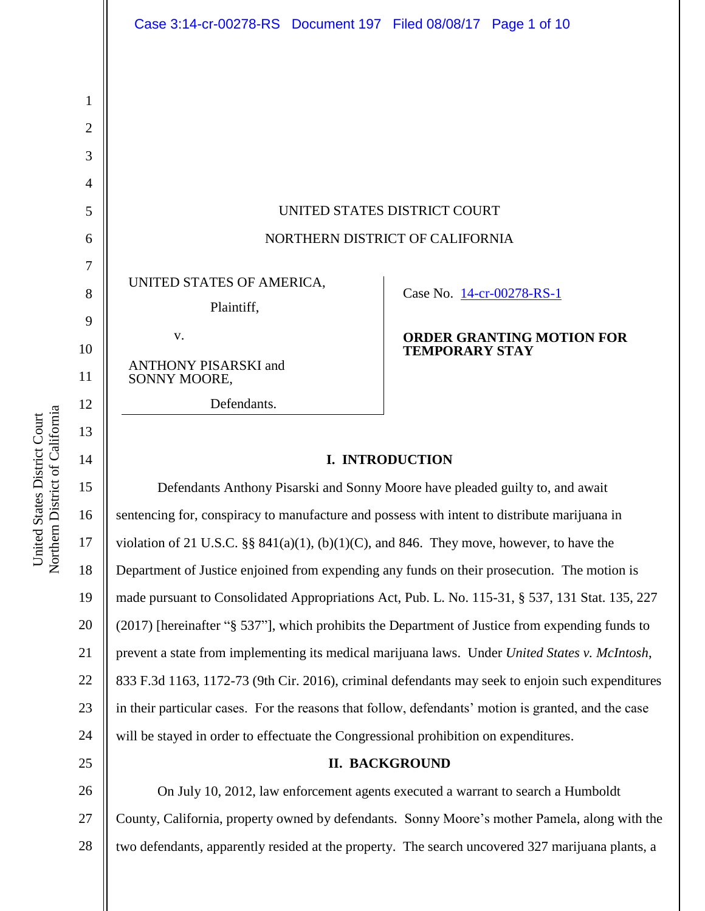|                | Case 3:14-cr-00278-RS Document 197 Filed 08/08/17 Page 1 of 10                                      |                                                           |
|----------------|-----------------------------------------------------------------------------------------------------|-----------------------------------------------------------|
|                |                                                                                                     |                                                           |
| 1              |                                                                                                     |                                                           |
| $\overline{2}$ |                                                                                                     |                                                           |
| 3              |                                                                                                     |                                                           |
| 4              |                                                                                                     |                                                           |
| 5              | UNITED STATES DISTRICT COURT                                                                        |                                                           |
| 6              | NORTHERN DISTRICT OF CALIFORNIA                                                                     |                                                           |
| 7              |                                                                                                     |                                                           |
| 8              | UNITED STATES OF AMERICA,                                                                           | Case No. 14-cr-00278-RS-1                                 |
| 9              | Plaintiff,                                                                                          |                                                           |
| 10             | V.                                                                                                  | <b>ORDER GRANTING MOTION FOR</b><br><b>TEMPORARY STAY</b> |
| 11             | ANTHONY PISARSKI and<br>SONNY MOORE,                                                                |                                                           |
| 12             | Defendants.                                                                                         |                                                           |
| 13             |                                                                                                     |                                                           |
| 14             | <b>I. INTRODUCTION</b>                                                                              |                                                           |
| 15             | Defendants Anthony Pisarski and Sonny Moore have pleaded guilty to, and await                       |                                                           |
| 16             | sentencing for, conspiracy to manufacture and possess with intent to distribute marijuana in        |                                                           |
| 17             | violation of 21 U.S.C. $\S$ 841(a)(1), (b)(1)(C), and 846. They move, however, to have the          |                                                           |
| 18             | Department of Justice enjoined from expending any funds on their prosecution. The motion is         |                                                           |
| 19             | made pursuant to Consolidated Appropriations Act, Pub. L. No. 115-31, § 537, 131 Stat. 135, 227     |                                                           |
| 20             | (2017) [hereinafter "§ 537"], which prohibits the Department of Justice from expending funds to     |                                                           |
| 21             | prevent a state from implementing its medical marijuana laws. Under United States v. McIntosh,      |                                                           |
| 22             | 833 F.3d 1163, 1172-73 (9th Cir. 2016), criminal defendants may seek to enjoin such expenditures    |                                                           |
| 23             | in their particular cases. For the reasons that follow, defendants' motion is granted, and the case |                                                           |
| 24             | will be stayed in order to effectuate the Congressional prohibition on expenditures.                |                                                           |
| 25             | <b>II. BACKGROUND</b>                                                                               |                                                           |

26 27 28 On July 10, 2012, law enforcement agents executed a warrant to search a Humboldt County, California, property owned by defendants. Sonny Moore's mother Pamela, along with the two defendants, apparently resided at the property. The search uncovered 327 marijuana plants, a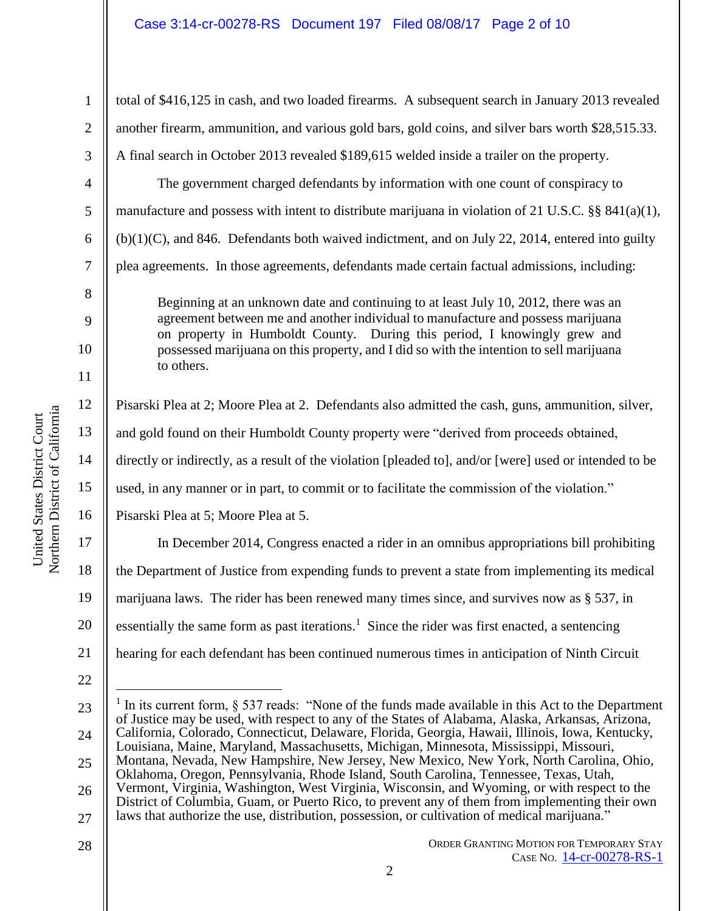total of \$416,125 in cash, and two loaded firearms. A subsequent search in January 2013 revealed another firearm, ammunition, and various gold bars, gold coins, and silver bars worth \$28,515.33. A final search in October 2013 revealed \$189,615 welded inside a trailer on the property.

The government charged defendants by information with one count of conspiracy to manufacture and possess with intent to distribute marijuana in violation of 21 U.S.C.  $\S$ § 841(a)(1),  $(b)(1)(C)$ , and 846. Defendants both waived indictment, and on July 22, 2014, entered into guilty plea agreements. In those agreements, defendants made certain factual admissions, including:

Beginning at an unknown date and continuing to at least July 10, 2012, there was an agreement between me and another individual to manufacture and possess marijuana on property in Humboldt County. During this period, I knowingly grew and possessed marijuana on this property, and I did so with the intention to sell marijuana to others.

Pisarski Plea at 2; Moore Plea at 2. Defendants also admitted the cash, guns, ammunition, silver,

and gold found on their Humboldt County property were "derived from proceeds obtained,

14 directly or indirectly, as a result of the violation [pleaded to], and/or [were] used or intended to be

15 used, in any manner or in part, to commit or to facilitate the commission of the violation."

16 Pisarski Plea at 5; Moore Plea at 5.

20 In December 2014, Congress enacted a rider in an omnibus appropriations bill prohibiting the Department of Justice from expending funds to prevent a state from implementing its medical marijuana laws. The rider has been renewed many times since, and survives now as § 537, in essentially the same form as past iterations.<sup>1</sup> Since the rider was first enacted, a sentencing hearing for each defendant has been continued numerous times in anticipation of Ninth Circuit

21

1

2

3

4

5

6

7

8

9

10

11

12

13

17

18

19

<sup>22</sup>

<sup>23</sup> 24 25 26  $\overline{a}$ 1 In its current form, § 537 reads: "None of the funds made available in this Act to the Department of Justice may be used, with respect to any of the States of Alabama, Alaska, Arkansas, Arizona, California, Colorado, Connecticut, Delaware, Florida, Georgia, Hawaii, Illinois, Iowa, Kentucky, Louisiana, Maine, Maryland, Massachusetts, Michigan, Minnesota, Mississippi, Missouri, Montana, Nevada, New Hampshire, New Jersey, New Mexico, New York, North Carolina, Ohio, Oklahoma, Oregon, Pennsylvania, Rhode Island, South Carolina, Tennessee, Texas, Utah, Vermont, Virginia, Washington, West Virginia, Wisconsin, and Wyoming, or with respect to the

<sup>27</sup> District of Columbia, Guam, or Puerto Rico, to prevent any of them from implementing their own laws that authorize the use, distribution, possession, or cultivation of medical marijuana."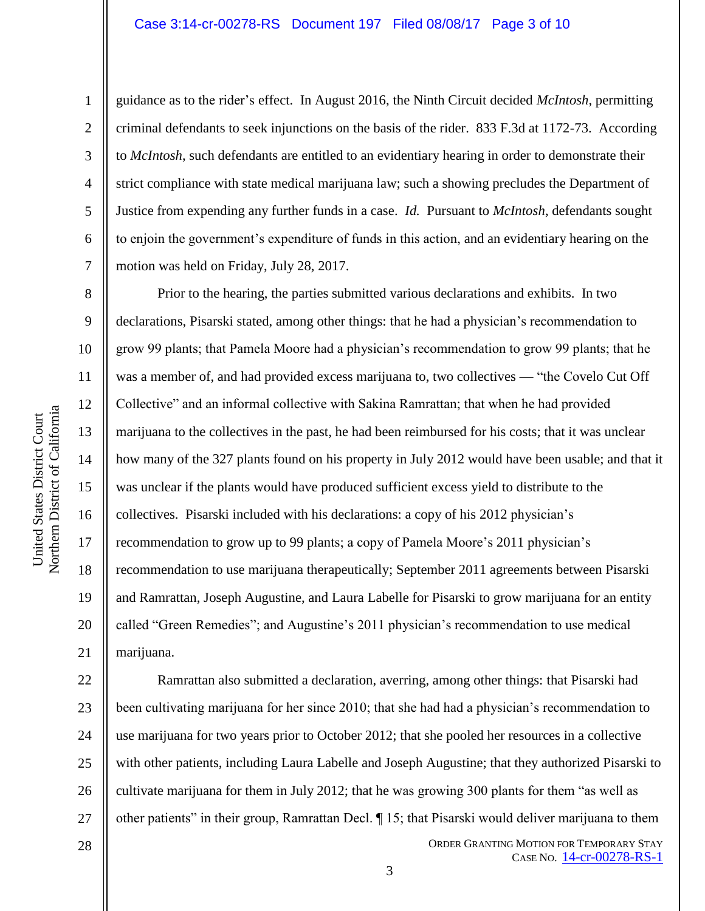#### Case 3:14-cr-00278-RS Document 197 Filed 08/08/17 Page 3 of 10

1

2

3

4

5

6

7

8

9

10

11

12

13

14

15

16

17

18

19

20

21

guidance as to the rider's effect. In August 2016, the Ninth Circuit decided *McIntosh*, permitting criminal defendants to seek injunctions on the basis of the rider. 833 F.3d at 1172-73. According to *McIntosh*, such defendants are entitled to an evidentiary hearing in order to demonstrate their strict compliance with state medical marijuana law; such a showing precludes the Department of Justice from expending any further funds in a case. *Id.* Pursuant to *McIntosh*, defendants sought to enjoin the government's expenditure of funds in this action, and an evidentiary hearing on the motion was held on Friday, July 28, 2017.

Prior to the hearing, the parties submitted various declarations and exhibits. In two declarations, Pisarski stated, among other things: that he had a physician's recommendation to grow 99 plants; that Pamela Moore had a physician's recommendation to grow 99 plants; that he was a member of, and had provided excess marijuana to, two collectives — "the Covelo Cut Off Collective" and an informal collective with Sakina Ramrattan; that when he had provided marijuana to the collectives in the past, he had been reimbursed for his costs; that it was unclear how many of the 327 plants found on his property in July 2012 would have been usable; and that it was unclear if the plants would have produced sufficient excess yield to distribute to the collectives. Pisarski included with his declarations: a copy of his 2012 physician's recommendation to grow up to 99 plants; a copy of Pamela Moore's 2011 physician's recommendation to use marijuana therapeutically; September 2011 agreements between Pisarski and Ramrattan, Joseph Augustine, and Laura Labelle for Pisarski to grow marijuana for an entity called "Green Remedies"; and Augustine's 2011 physician's recommendation to use medical marijuana.

22 23 24 25 26 27 Ramrattan also submitted a declaration, averring, among other things: that Pisarski had been cultivating marijuana for her since 2010; that she had had a physician's recommendation to use marijuana for two years prior to October 2012; that she pooled her resources in a collective with other patients, including Laura Labelle and Joseph Augustine; that they authorized Pisarski to cultivate marijuana for them in July 2012; that he was growing 300 plants for them "as well as other patients" in their group, Ramrattan Decl. ¶ 15; that Pisarski would deliver marijuana to them

28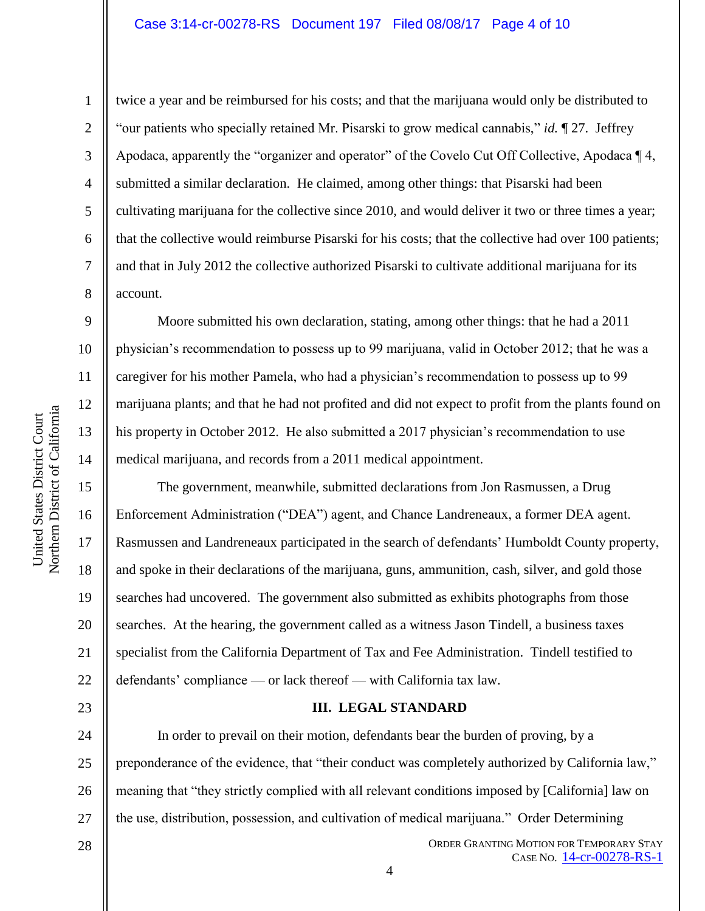1

2

3

4

5

6

7

8

9

10

11

12

13

14

15

16

17

18

19

20

21

22

23

28

twice a year and be reimbursed for his costs; and that the marijuana would only be distributed to "our patients who specially retained Mr. Pisarski to grow medical cannabis," *id.* ¶ 27. Jeffrey Apodaca, apparently the "organizer and operator" of the Covelo Cut Off Collective, Apodaca ¶ 4, submitted a similar declaration. He claimed, among other things: that Pisarski had been cultivating marijuana for the collective since 2010, and would deliver it two or three times a year; that the collective would reimburse Pisarski for his costs; that the collective had over 100 patients; and that in July 2012 the collective authorized Pisarski to cultivate additional marijuana for its account.

Moore submitted his own declaration, stating, among other things: that he had a 2011 physician's recommendation to possess up to 99 marijuana, valid in October 2012; that he was a caregiver for his mother Pamela, who had a physician's recommendation to possess up to 99 marijuana plants; and that he had not profited and did not expect to profit from the plants found on his property in October 2012. He also submitted a 2017 physician's recommendation to use medical marijuana, and records from a 2011 medical appointment.

The government, meanwhile, submitted declarations from Jon Rasmussen, a Drug Enforcement Administration ("DEA") agent, and Chance Landreneaux, a former DEA agent. Rasmussen and Landreneaux participated in the search of defendants' Humboldt County property, and spoke in their declarations of the marijuana, guns, ammunition, cash, silver, and gold those searches had uncovered. The government also submitted as exhibits photographs from those searches. At the hearing, the government called as a witness Jason Tindell, a business taxes specialist from the California Department of Tax and Fee Administration. Tindell testified to defendants' compliance — or lack thereof — with California tax law.

# **III. LEGAL STANDARD**

24 25 26 27 In order to prevail on their motion, defendants bear the burden of proving, by a preponderance of the evidence, that "their conduct was completely authorized by California law," meaning that "they strictly complied with all relevant conditions imposed by [California] law on the use, distribution, possession, and cultivation of medical marijuana." Order Determining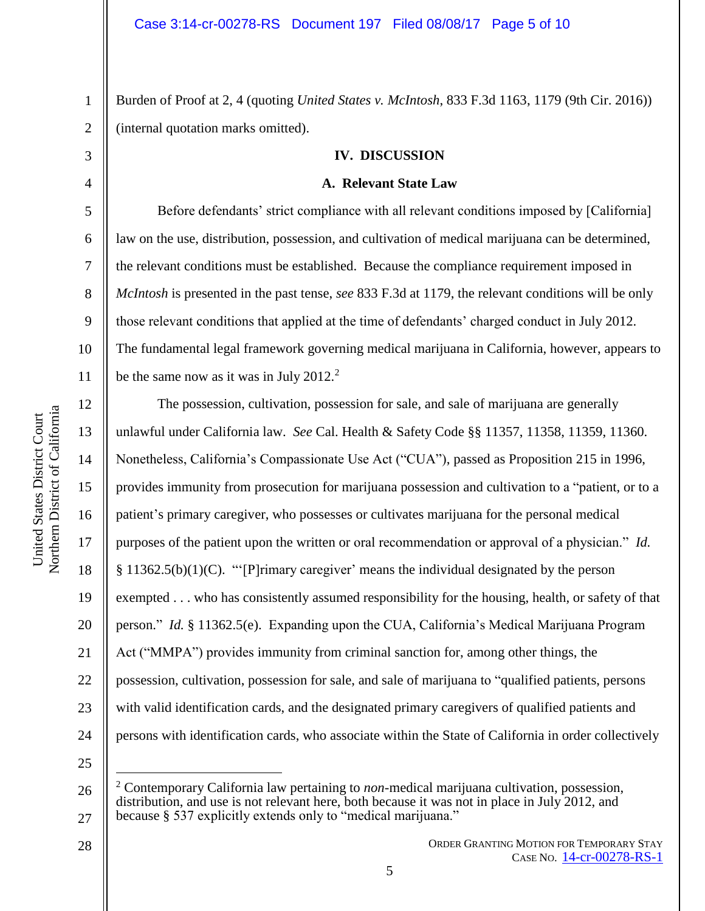Burden of Proof at 2, 4 (quoting *United States v. McIntosh*, 833 F.3d 1163, 1179 (9th Cir. 2016)) (internal quotation marks omitted).

## **IV. DISCUSSION**

# **A. Relevant State Law**

Before defendants' strict compliance with all relevant conditions imposed by [California] law on the use, distribution, possession, and cultivation of medical marijuana can be determined, the relevant conditions must be established. Because the compliance requirement imposed in *McIntosh* is presented in the past tense, *see* 833 F.3d at 1179, the relevant conditions will be only those relevant conditions that applied at the time of defendants' charged conduct in July 2012. The fundamental legal framework governing medical marijuana in California, however, appears to be the same now as it was in July  $2012<sup>2</sup>$ .

The possession, cultivation, possession for sale, and sale of marijuana are generally unlawful under California law. *See* Cal. Health & Safety Code §§ 11357, 11358, 11359, 11360. Nonetheless, California's Compassionate Use Act ("CUA"), passed as Proposition 215 in 1996, provides immunity from prosecution for marijuana possession and cultivation to a "patient, or to a patient's primary caregiver, who possesses or cultivates marijuana for the personal medical purposes of the patient upon the written or oral recommendation or approval of a physician." *Id.* § 11362.5(b)(1)(C). "'[P]rimary caregiver' means the individual designated by the person exempted . . . who has consistently assumed responsibility for the housing, health, or safety of that person." *Id.* § 11362.5(e). Expanding upon the CUA, California's Medical Marijuana Program Act ("MMPA") provides immunity from criminal sanction for, among other things, the possession, cultivation, possession for sale, and sale of marijuana to "qualified patients, persons with valid identification cards, and the designated primary caregivers of qualified patients and persons with identification cards, who associate within the State of California in order collectively

25

 $\overline{a}$ 

1

2

3

4

5

6

7

8

9

10

11

12

13

14

15

16

17

18

19

20

21

22

23

<sup>26</sup> 27 <sup>2</sup> Contemporary California law pertaining to *non*-medical marijuana cultivation, possession, distribution, and use is not relevant here, both because it was not in place in July 2012, and because § 537 explicitly extends only to "medical marijuana."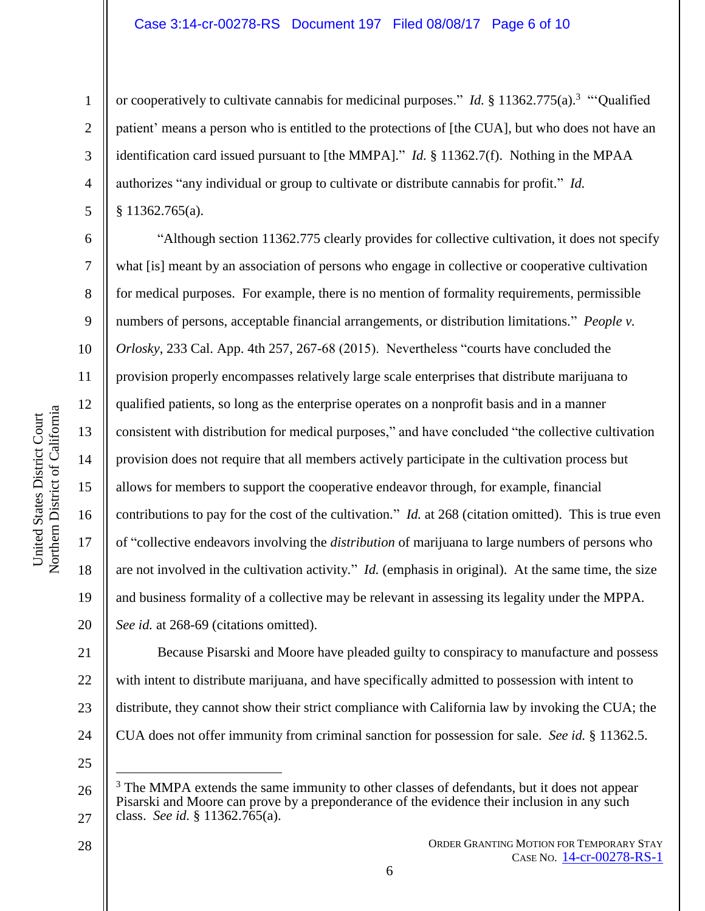or cooperatively to cultivate cannabis for medicinal purposes." *Id.* § 11362.775(a).<sup>3</sup> "Qualified patient' means a person who is entitled to the protections of [the CUA], but who does not have an identification card issued pursuant to [the MMPA]." *Id.* § 11362.7(f). Nothing in the MPAA authorizes "any individual or group to cultivate or distribute cannabis for profit." *Id.*  § 11362.765(a).

"Although section 11362.775 clearly provides for collective cultivation, it does not specify what [is] meant by an association of persons who engage in collective or cooperative cultivation for medical purposes. For example, there is no mention of formality requirements, permissible numbers of persons, acceptable financial arrangements, or distribution limitations." *People v. Orlosky*, 233 Cal. App. 4th 257, 267-68 (2015). Nevertheless "courts have concluded the provision properly encompasses relatively large scale enterprises that distribute marijuana to qualified patients, so long as the enterprise operates on a nonprofit basis and in a manner consistent with distribution for medical purposes," and have concluded "the collective cultivation provision does not require that all members actively participate in the cultivation process but allows for members to support the cooperative endeavor through, for example, financial contributions to pay for the cost of the cultivation." *Id.* at 268 (citation omitted). This is true even of "collective endeavors involving the *distribution* of marijuana to large numbers of persons who are not involved in the cultivation activity." *Id.* (emphasis in original). At the same time, the size and business formality of a collective may be relevant in assessing its legality under the MPPA.

20 *See id.* at 268-69 (citations omitted).

21 22 23 24 Because Pisarski and Moore have pleaded guilty to conspiracy to manufacture and possess with intent to distribute marijuana, and have specifically admitted to possession with intent to distribute, they cannot show their strict compliance with California law by invoking the CUA; the CUA does not offer immunity from criminal sanction for possession for sale. *See id.* § 11362.5.

25

 $\overline{a}$ 

Northern District of California Northern District of California United States District Court United States District Court

1

2

3

4

5

6

7

8

9

10

11

12

13

14

15

16

17

18

<sup>26</sup> 27 The MMPA extends the same immunity to other classes of defendants, but it does not appear Pisarski and Moore can prove by a preponderance of the evidence their inclusion in any such class. *See id.* § 11362.765(a).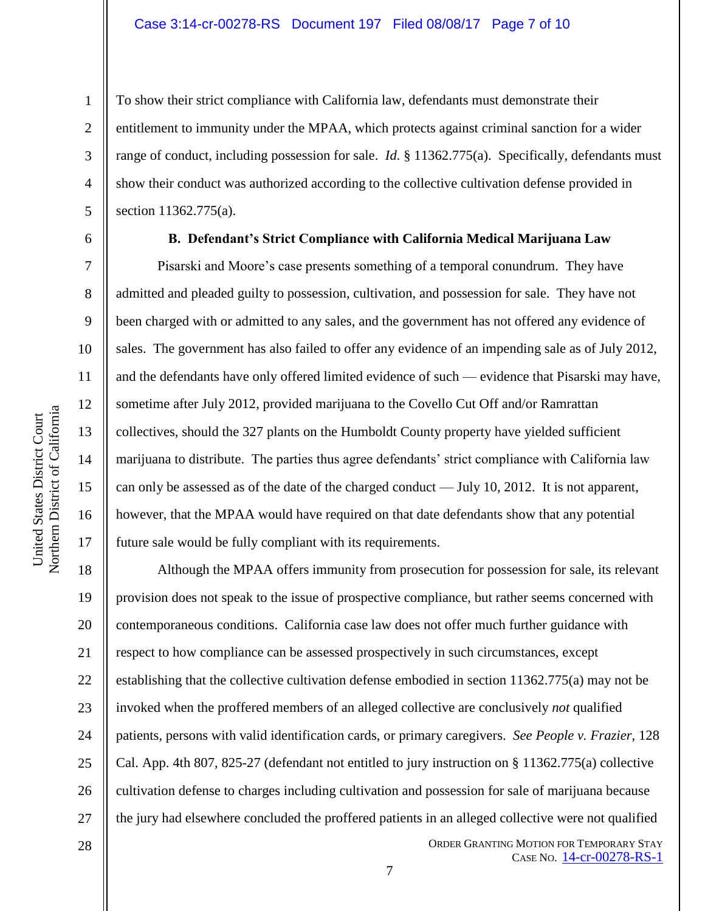To show their strict compliance with California law, defendants must demonstrate their entitlement to immunity under the MPAA, which protects against criminal sanction for a wider range of conduct, including possession for sale. *Id.* § 11362.775(a). Specifically, defendants must show their conduct was authorized according to the collective cultivation defense provided in section 11362.775(a).

6

1

2

3

4

5

7

8

9

10

11

12

13

14

15

16

17

28

#### **B. Defendant's Strict Compliance with California Medical Marijuana Law**

Pisarski and Moore's case presents something of a temporal conundrum. They have admitted and pleaded guilty to possession, cultivation, and possession for sale. They have not been charged with or admitted to any sales, and the government has not offered any evidence of sales. The government has also failed to offer any evidence of an impending sale as of July 2012, and the defendants have only offered limited evidence of such — evidence that Pisarski may have, sometime after July 2012, provided marijuana to the Covello Cut Off and/or Ramrattan collectives, should the 327 plants on the Humboldt County property have yielded sufficient marijuana to distribute. The parties thus agree defendants' strict compliance with California law can only be assessed as of the date of the charged conduct — July 10, 2012. It is not apparent, however, that the MPAA would have required on that date defendants show that any potential future sale would be fully compliant with its requirements.

18 19 20 21 22 23 24 25 26 27 Although the MPAA offers immunity from prosecution for possession for sale, its relevant provision does not speak to the issue of prospective compliance, but rather seems concerned with contemporaneous conditions. California case law does not offer much further guidance with respect to how compliance can be assessed prospectively in such circumstances, except establishing that the collective cultivation defense embodied in section 11362.775(a) may not be invoked when the proffered members of an alleged collective are conclusively *not* qualified patients, persons with valid identification cards, or primary caregivers. *See People v. Frazier*, 128 Cal. App. 4th 807, 825-27 (defendant not entitled to jury instruction on § 11362.775(a) collective cultivation defense to charges including cultivation and possession for sale of marijuana because the jury had elsewhere concluded the proffered patients in an alleged collective were not qualified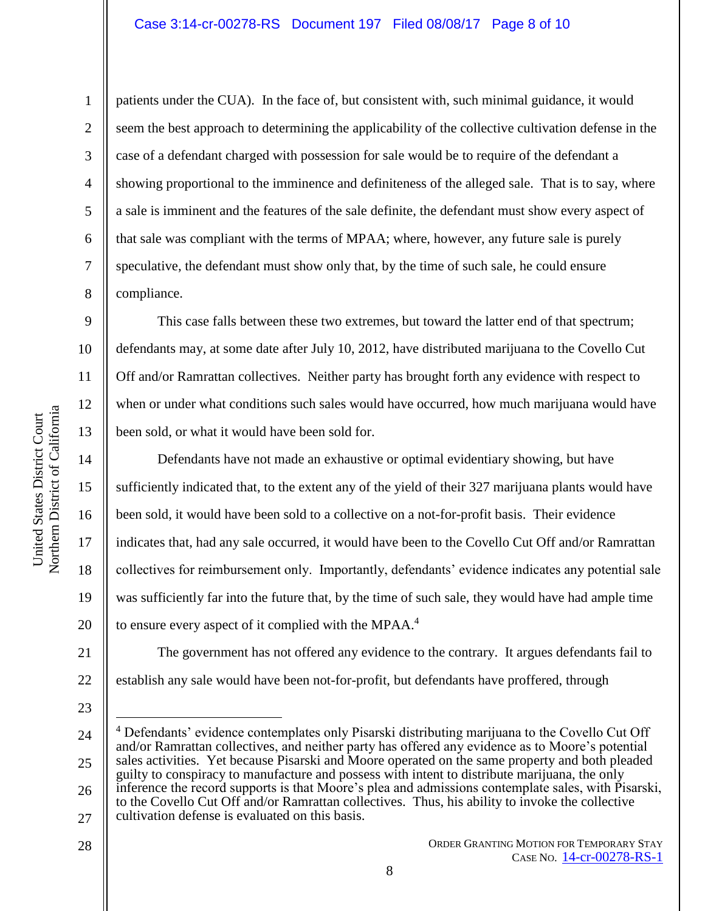## Case 3:14-cr-00278-RS Document 197 Filed 08/08/17 Page 8 of 10

Northern District of California Northern District of California 1

2

3

5

7

8

9

10

11

12

13

14

15

United States District Court

United States District Court

16

17

18

19

4 6 patients under the CUA). In the face of, but consistent with, such minimal guidance, it would seem the best approach to determining the applicability of the collective cultivation defense in the case of a defendant charged with possession for sale would be to require of the defendant a showing proportional to the imminence and definiteness of the alleged sale. That is to say, where a sale is imminent and the features of the sale definite, the defendant must show every aspect of that sale was compliant with the terms of MPAA; where, however, any future sale is purely speculative, the defendant must show only that, by the time of such sale, he could ensure compliance.

This case falls between these two extremes, but toward the latter end of that spectrum; defendants may, at some date after July 10, 2012, have distributed marijuana to the Covello Cut Off and/or Ramrattan collectives. Neither party has brought forth any evidence with respect to when or under what conditions such sales would have occurred, how much marijuana would have been sold, or what it would have been sold for.

Defendants have not made an exhaustive or optimal evidentiary showing, but have sufficiently indicated that, to the extent any of the yield of their 327 marijuana plants would have been sold, it would have been sold to a collective on a not-for-profit basis. Their evidence indicates that, had any sale occurred, it would have been to the Covello Cut Off and/or Ramrattan collectives for reimbursement only. Importantly, defendants' evidence indicates any potential sale was sufficiently far into the future that, by the time of such sale, they would have had ample time to ensure every aspect of it complied with the MPAA.<sup>4</sup>

20 21 22

The government has not offered any evidence to the contrary. It argues defendants fail to establish any sale would have been not-for-profit, but defendants have proffered, through

23

 $\overline{a}$ 

28

24 25 26 <sup>4</sup> Defendants' evidence contemplates only Pisarski distributing marijuana to the Covello Cut Off and/or Ramrattan collectives, and neither party has offered any evidence as to Moore's potential sales activities. Yet because Pisarski and Moore operated on the same property and both pleaded guilty to conspiracy to manufacture and possess with intent to distribute marijuana, the only inference the record supports is that Moore's plea and admissions contemplate sales, with Pisarski, to the Covello Cut Off and/or Ramrattan collectives. Thus, his ability to invoke the collective

27 cultivation defense is evaluated on this basis.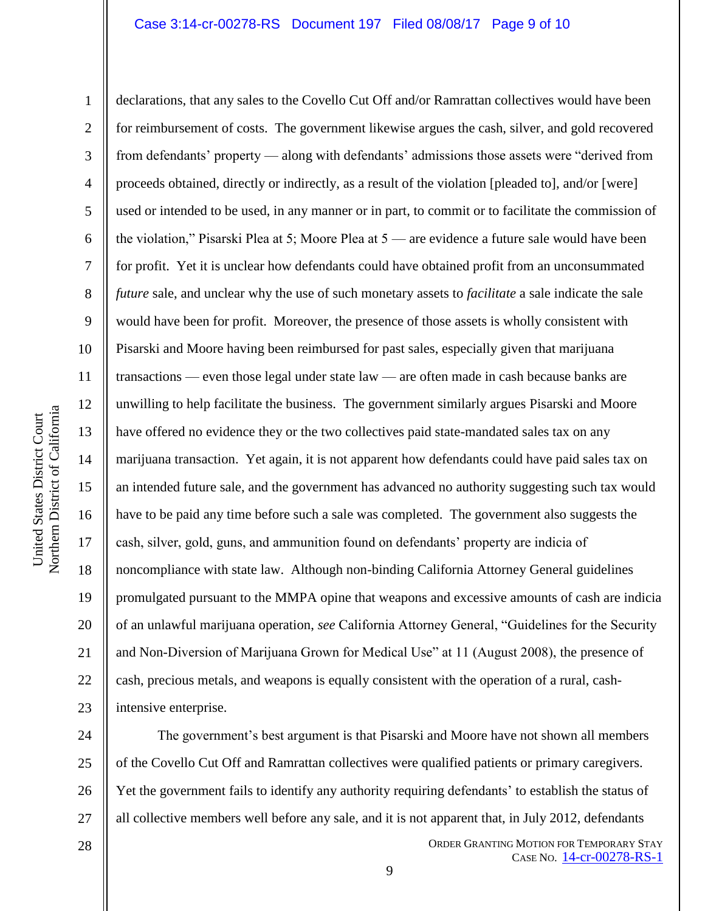#### Case 3:14-cr-00278-RS Document 197 Filed 08/08/17 Page 9 of 10

Northern District of California Northern District of California United States District Court United States District Court

1 2 3 4 5 6 7 8 9 10 11 12 13 14 15 16 17 18 19 20 21 22 23 declarations, that any sales to the Covello Cut Off and/or Ramrattan collectives would have been for reimbursement of costs. The government likewise argues the cash, silver, and gold recovered from defendants' property — along with defendants' admissions those assets were "derived from proceeds obtained, directly or indirectly, as a result of the violation [pleaded to], and/or [were] used or intended to be used, in any manner or in part, to commit or to facilitate the commission of the violation," Pisarski Plea at 5; Moore Plea at 5 — are evidence a future sale would have been for profit. Yet it is unclear how defendants could have obtained profit from an unconsummated *future* sale, and unclear why the use of such monetary assets to *facilitate* a sale indicate the sale would have been for profit. Moreover, the presence of those assets is wholly consistent with Pisarski and Moore having been reimbursed for past sales, especially given that marijuana transactions — even those legal under state law — are often made in cash because banks are unwilling to help facilitate the business. The government similarly argues Pisarski and Moore have offered no evidence they or the two collectives paid state-mandated sales tax on any marijuana transaction. Yet again, it is not apparent how defendants could have paid sales tax on an intended future sale, and the government has advanced no authority suggesting such tax would have to be paid any time before such a sale was completed. The government also suggests the cash, silver, gold, guns, and ammunition found on defendants' property are indicia of noncompliance with state law. Although non-binding California Attorney General guidelines promulgated pursuant to the MMPA opine that weapons and excessive amounts of cash are indicia of an unlawful marijuana operation, *see* California Attorney General, "Guidelines for the Security and Non-Diversion of Marijuana Grown for Medical Use" at 11 (August 2008), the presence of cash, precious metals, and weapons is equally consistent with the operation of a rural, cashintensive enterprise.

24 25 26 27 The government's best argument is that Pisarski and Moore have not shown all members of the Covello Cut Off and Ramrattan collectives were qualified patients or primary caregivers. Yet the government fails to identify any authority requiring defendants' to establish the status of all collective members well before any sale, and it is not apparent that, in July 2012, defendants

28